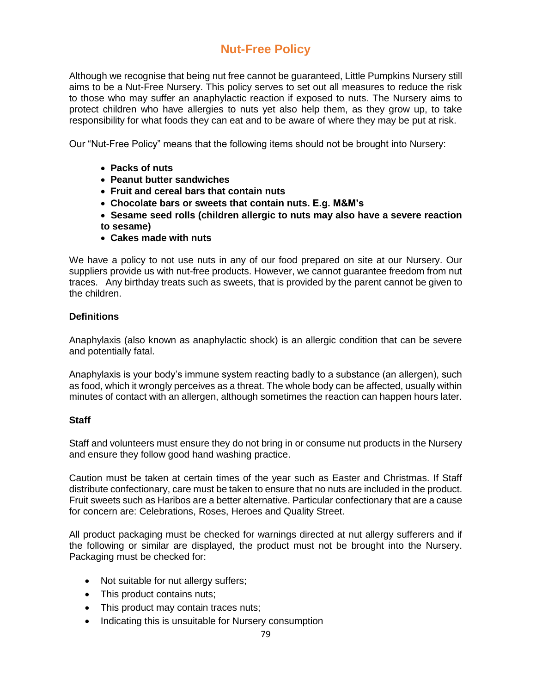# **Nut-Free Policy**

Although we recognise that being nut free cannot be guaranteed, Little Pumpkins Nursery still aims to be a Nut-Free Nursery. This policy serves to set out all measures to reduce the risk to those who may suffer an anaphylactic reaction if exposed to nuts. The Nursery aims to protect children who have allergies to nuts yet also help them, as they grow up, to take responsibility for what foods they can eat and to be aware of where they may be put at risk.

Our "Nut-Free Policy" means that the following items should not be brought into Nursery:

- **Packs of nuts**
- **Peanut butter sandwiches**
- **Fruit and cereal bars that contain nuts**
- **Chocolate bars or sweets that contain nuts. E.g. M&M's**
- **Sesame seed rolls (children allergic to nuts may also have a severe reaction to sesame)**
- **Cakes made with nuts**

We have a policy to not use nuts in any of our food prepared on site at our Nursery. Our suppliers provide us with nut-free products. However, we cannot guarantee freedom from nut traces. Any birthday treats such as sweets, that is provided by the parent cannot be given to the children.

# **Definitions**

Anaphylaxis (also known as anaphylactic shock) is an allergic condition that can be severe and potentially fatal.

Anaphylaxis is your body's immune system reacting badly to a substance (an allergen), such as food, which it wrongly perceives as a threat. The whole body can be affected, usually within minutes of contact with an allergen, although sometimes the reaction can happen hours later.

### **Staff**

Staff and volunteers must ensure they do not bring in or consume nut products in the Nursery and ensure they follow good hand washing practice.

Caution must be taken at certain times of the year such as Easter and Christmas. If Staff distribute confectionary, care must be taken to ensure that no nuts are included in the product. Fruit sweets such as Haribos are a better alternative. Particular confectionary that are a cause for concern are: Celebrations, Roses, Heroes and Quality Street.

All product packaging must be checked for warnings directed at nut allergy sufferers and if the following or similar are displayed, the product must not be brought into the Nursery. Packaging must be checked for:

- Not suitable for nut allergy suffers;
- This product contains nuts;
- This product may contain traces nuts;
- Indicating this is unsuitable for Nursery consumption